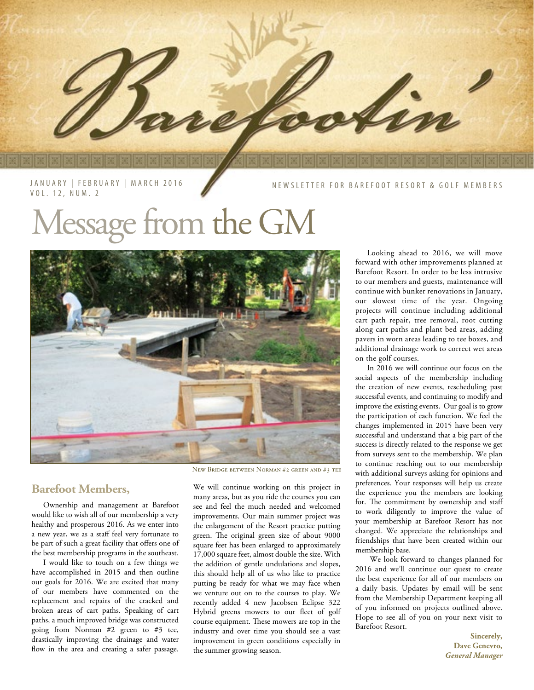

NEWSLETTER FOR BAREFOOT RESORT & GOLF MEMBERS

# Message from the GM



## **Barefoot Members,**

Ownership and management at Barefoot would like to wish all of our membership a very healthy and prosperous 2016. As we enter into a new year, we as a staff feel very fortunate to be part of such a great facility that offers one of the best membership programs in the southeast.

I would like to touch on a few things we have accomplished in 2015 and then outline our goals for 2016. We are excited that many of our members have commented on the replacement and repairs of the cracked and broken areas of cart paths. Speaking of cart paths, a much improved bridge was constructed going from Norman #2 green to #3 tee, drastically improving the drainage and water flow in the area and creating a safer passage.

New Bridge between Norman #2 green and #3 tee

We will continue working on this project in many areas, but as you ride the courses you can see and feel the much needed and welcomed improvements. Our main summer project was the enlargement of the Resort practice putting green. The original green size of about 9000 square feet has been enlarged to approximately 17,000 square feet, almost double the size. With the addition of gentle undulations and slopes, this should help all of us who like to practice putting be ready for what we may face when we venture out on to the courses to play. We recently added 4 new Jacobsen Eclipse 322 Hybrid greens mowers to our fleet of golf course equipment. These mowers are top in the industry and over time you should see a vast improvement in green conditions especially in the summer growing season.

Looking ahead to 2016, we will move forward with other improvements planned at Barefoot Resort. In order to be less intrusive to our members and guests, maintenance will continue with bunker renovations in January, our slowest time of the year. Ongoing projects will continue including additional cart path repair, tree removal, root cutting along cart paths and plant bed areas, adding pavers in worn areas leading to tee boxes, and additional drainage work to correct wet areas on the golf courses.

In 2016 we will continue our focus on the social aspects of the membership including the creation of new events, rescheduling past successful events, and continuing to modify and improve the existing events. Our goal is to grow the participation of each function. We feel the changes implemented in 2015 have been very successful and understand that a big part of the success is directly related to the response we get from surveys sent to the membership. We plan to continue reaching out to our membership with additional surveys asking for opinions and preferences. Your responses will help us create the experience you the members are looking for. The commitment by ownership and staff to work diligently to improve the value of your membership at Barefoot Resort has not changed. We appreciate the relationships and friendships that have been created within our membership base.

 We look forward to changes planned for 2016 and we'll continue our quest to create the best experience for all of our members on a daily basis. Updates by email will be sent from the Membership Department keeping all of you informed on projects outlined above. Hope to see all of you on your next visit to Barefoot Resort.

> **Sincerely, Dave Genevro,** *General Manager*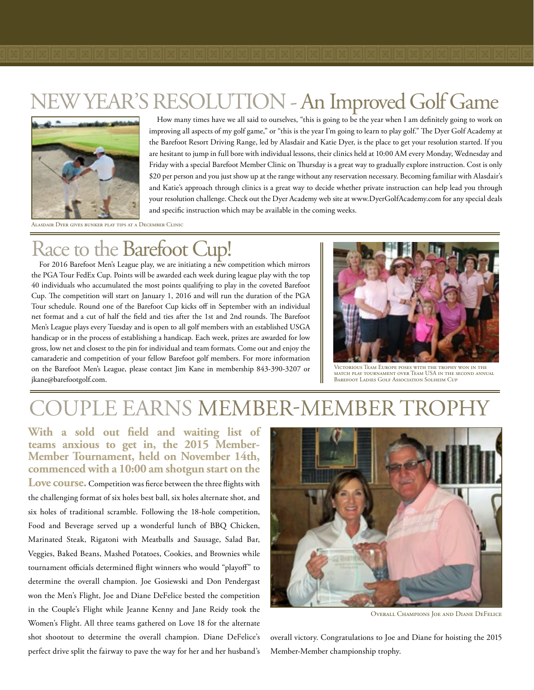

How many times have we all said to ourselves, "this is going to be the year when I am definitely going to work on improving all aspects of my golf game," or "this is the year I'm going to learn to play golf." The Dyer Golf Academy at the Barefoot Resort Driving Range, led by Alasdair and Katie Dyer, is the place to get your resolution started. If you are hesitant to jump in full bore with individual lessons, their clinics held at 10:00 AM every Monday, Wednesday and Friday with a special Barefoot Member Clinic on Thursday is a great way to gradually explore instruction. Cost is only \$20 per person and you just show up at the range without any reservation necessary. Becoming familiar with Alasdair's and Katie's approach through clinics is a great way to decide whether private instruction can help lead you through your resolution challenge. Check out the Dyer Academy web site at www.DyerGolfAcademy.com for any special deals and specific instruction which may be available in the coming weeks.

Alasdair Dyer gives bunker play tips at a December Clinic

## Race to the Barefoot Cup!

For 2016 Barefoot Men's League play, we are initiating a new competition which mirrors the PGA Tour FedEx Cup. Points will be awarded each week during league play with the top 40 individuals who accumulated the most points qualifying to play in the coveted Barefoot Cup. The competition will start on January 1, 2016 and will run the duration of the PGA Tour schedule. Round one of the Barefoot Cup kicks off in September with an individual net format and a cut of half the field and ties after the 1st and 2nd rounds. The Barefoot Men's League plays every Tuesday and is open to all golf members with an established USGA handicap or in the process of establishing a handicap. Each week, prizes are awarded for low gross, low net and closest to the pin for individual and team formats. Come out and enjoy the camaraderie and competition of your fellow Barefoot golf members. For more information on the Barefoot Men's League, please contact Jim Kane in membership 843-390-3207 or jkane@barefootgolf.com.



Victorious Team Europe poses with the trophy won in the match play tournament over Team USA in the second annual Barefoot Ladies Golf Association Solheim Cup

## COUPLE EARNS MEMBER-MEMBER TROPHY

**With a sold out field and waiting list of teams anxious to get in, the 2015 Member-Member Tournament, held on November 14th, commenced with a 10:00 am shotgun start on the**  Love course. Competition was fierce between the three flights with the challenging format of six holes best ball, six holes alternate shot, and six holes of traditional scramble. Following the 18-hole competition, Food and Beverage served up a wonderful lunch of BBQ Chicken, Marinated Steak, Rigatoni with Meatballs and Sausage, Salad Bar, Veggies, Baked Beans, Mashed Potatoes, Cookies, and Brownies while tournament officials determined flight winners who would "playoff" to determine the overall champion. Joe Gosiewski and Don Pendergast won the Men's Flight, Joe and Diane DeFelice bested the competition in the Couple's Flight while Jeanne Kenny and Jane Reidy took the Women's Flight. All three teams gathered on Love 18 for the alternate shot shootout to determine the overall champion. Diane DeFelice's perfect drive split the fairway to pave the way for her and her husband's



Overall Champions Joe and Diane DeFelice

overall victory. Congratulations to Joe and Diane for hoisting the 2015 Member-Member championship trophy.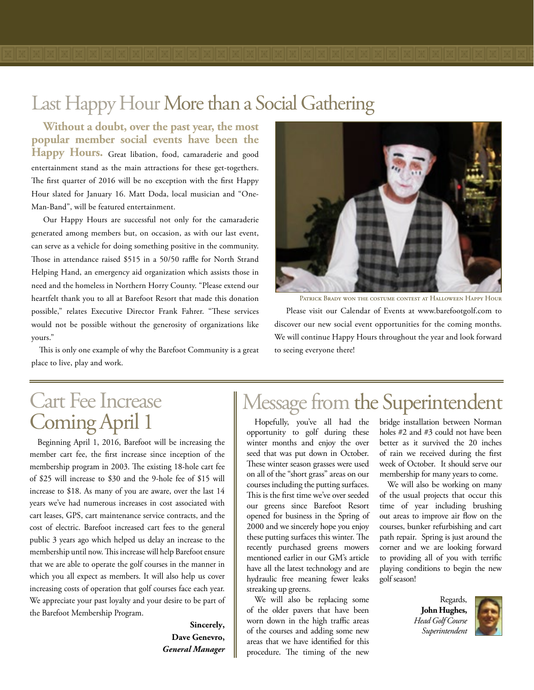**Without a doubt, over the past year, the most popular member social events have been the Happy Hours.** Great libation, food, camaraderie and good entertainment stand as the main attractions for these get-togethers. The first quarter of 2016 will be no exception with the first Happy Hour slated for January 16. Matt Doda, local musician and "One-Man-Band", will be featured entertainment.

Our Happy Hours are successful not only for the camaraderie generated among members but, on occasion, as with our last event, can serve as a vehicle for doing something positive in the community. Those in attendance raised \$515 in a 50/50 raffle for North Strand Helping Hand, an emergency aid organization which assists those in need and the homeless in Northern Horry County. "Please extend our heartfelt thank you to all at Barefoot Resort that made this donation possible," relates Executive Director Frank Fahrer. "These services would not be possible without the generosity of organizations like yours."

This is only one example of why the Barefoot Community is a great place to live, play and work.



Patrick Brady won the costume contest at Halloween Happy Hour

Please visit our Calendar of Events at www.barefootgolf.com to discover our new social event opportunities for the coming months. We will continue Happy Hours throughout the year and look forward to seeing everyone there!

## Cart Fee Increase Coming April 1

Beginning April 1, 2016, Barefoot will be increasing the member cart fee, the first increase since inception of the membership program in 2003. The existing 18-hole cart fee of \$25 will increase to \$30 and the 9-hole fee of \$15 will increase to \$18. As many of you are aware, over the last 14 years we've had numerous increases in cost associated with cart leases, GPS, cart maintenance service contracts, and the cost of electric. Barefoot increased cart fees to the general public 3 years ago which helped us delay an increase to the membership until now. This increase will help Barefoot ensure that we are able to operate the golf courses in the manner in which you all expect as members. It will also help us cover increasing costs of operation that golf courses face each year. We appreciate your past loyalty and your desire to be part of the Barefoot Membership Program.

> **Sincerely, Dave Genevro,** *General Manager*

## Message from the Superintendent

Hopefully, you've all had the opportunity to golf during these winter months and enjoy the over seed that was put down in October. These winter season grasses were used on all of the "short grass" areas on our courses including the putting surfaces. This is the first time we've over seeded our greens since Barefoot Resort opened for business in the Spring of 2000 and we sincerely hope you enjoy these putting surfaces this winter. The recently purchased greens mowers mentioned earlier in our GM's article have all the latest technology and are hydraulic free meaning fewer leaks streaking up greens.

We will also be replacing some of the older pavers that have been worn down in the high traffic areas of the courses and adding some new areas that we have identified for this procedure. The timing of the new

bridge installation between Norman holes #2 and #3 could not have been better as it survived the 20 inches of rain we received during the first week of October. It should serve our membership for many years to come.

We will also be working on many of the usual projects that occur this time of year including brushing out areas to improve air flow on the courses, bunker refurbishing and cart path repair. Spring is just around the corner and we are looking forward to providing all of you with terrific playing conditions to begin the new golf season!

> Regards, **John Hughes,** *Head Golf Course Superintendent*